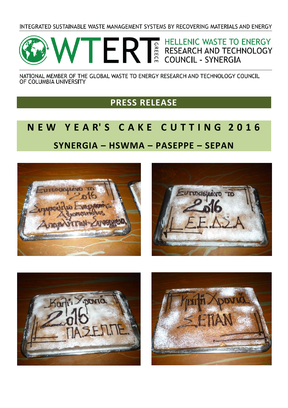INTEGRATED SUSTAINABLE WASTE MANAGEMENT SYSTEMS BY RECOVERING MATERIALS AND ENERGY



NATIONAL MEMBER OF THE GLOBAL WASTE TO ENERGY RESEARCH AND TECHNOLOGY COUNCIL OF COLUMBIA UNIVERSITY

## **PRESS RELEASE**

## **N E W Y E A R' S C A K E C U T T I N G 2 0 1 6 SYNERGIA – HSWMA – PASEPPE – SEPAN**